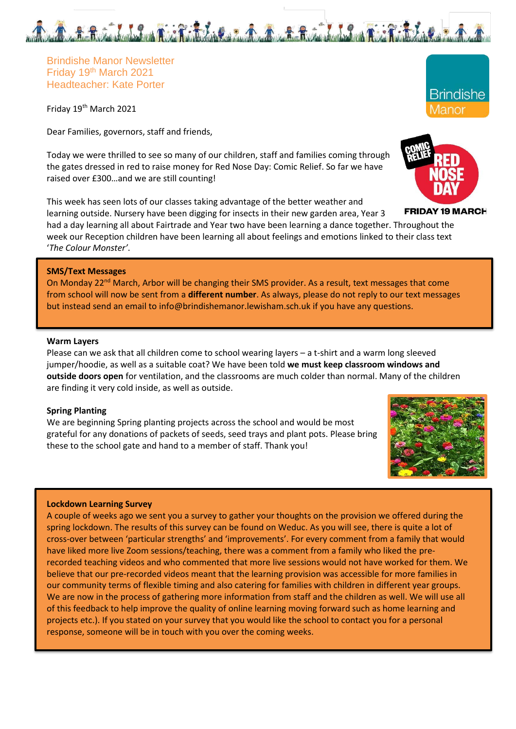Brindishe Manor Newsletter Friday 19th March 2021 Headteacher: Kate Porter

Friday 19th March 2021

Dear Families, governors, staff and friends,

Today we were thrilled to see so many of our children, staff and families coming through the gates dressed in red to raise money for Red Nose Day: Comic Relief. So far we have raised over £300…and we are still counting!

This week has seen lots of our classes taking advantage of the better weather and learning outside. Nursery have been digging for insects in their new garden area, Year 3

had a day learning all about Fairtrade and Year two have been learning a dance together. Throughout the week our Reception children have been learning all about feelings and emotions linked to their class text '*The Colour Monster'*.

## **SMS/Text Messages**

On Monday 22<sup>nd</sup> March, Arbor will be changing their SMS provider. As a result, text messages that come from school will now be sent from a **different number**. As always, please do not reply to our text messages but instead send an email to info@brindishemanor.lewisham.sch.uk if you have any questions.

#### **Warm Layers**

Please can we ask that all children come to school wearing layers – a t-shirt and a warm long sleeved jumper/hoodie, as well as a suitable coat? We have been told **we must keep classroom windows and outside doors open** for ventilation, and the classrooms are much colder than normal. Many of the children are finding it very cold inside, as well as outside.

### **Spring Planting**

We are beginning Spring planting projects across the school and would be most grateful for any donations of packets of seeds, seed trays and plant pots. Please bring these to the school gate and hand to a member of staff. Thank you!

#### **Lockdown Learning Survey**

A couple of weeks ago we sent you a survey to gather your thoughts on the provision we offered during the spring lockdown. The results of this survey can be found on Weduc. As you will see, there is quite a lot of cross-over between 'particular strengths' and 'improvements'. For every comment from a family that would have liked more live Zoom sessions/teaching, there was a comment from a family who liked the prerecorded teaching videos and who commented that more live sessions would not have worked for them. We believe that our pre-recorded videos meant that the learning provision was accessible for more families in our community terms of flexible timing and also catering for families with children in different year groups. We are now in the process of gathering more information from staff and the children as well. We will use all of this feedback to help improve the quality of online learning moving forward such as home learning and projects etc.). If you stated on your survey that you would like the school to contact you for a personal response, someone will be in touch with you over the coming weeks.





**FRIDAY 19 MARCH** 

**Brindishe** Manor